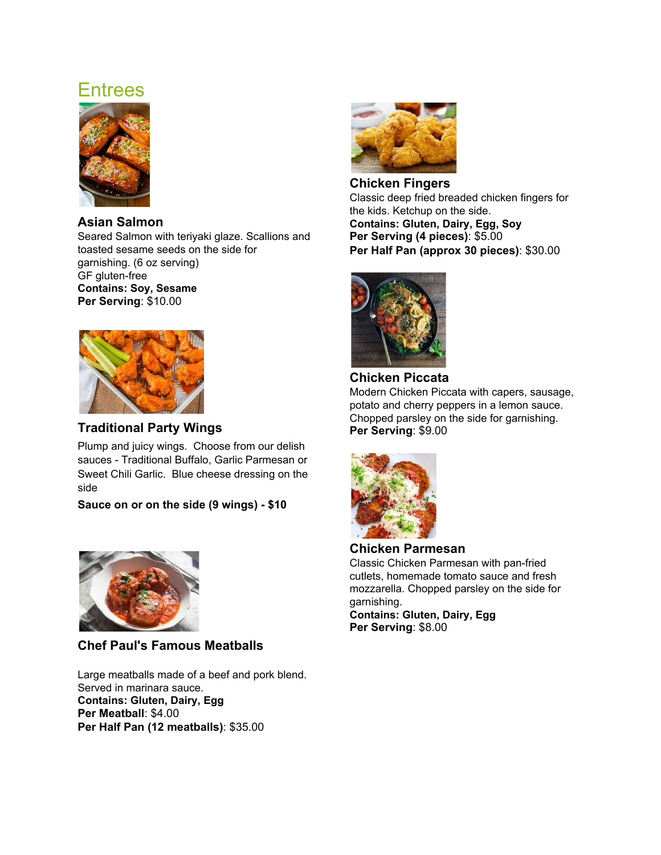# Entrees



### **Asian Salmon**

Seared Salmon with teriyaki glaze. Scallions and toasted sesame seeds on the side for garnishing. (6 oz serving) GF gluten-free **Contains: Soy, Sesame Per Serving**: \$10.00



## **Traditional Party Wings**

Plump and juicy wings. Choose from our delish sauces - Traditional Buffalo, Garlic Parmesan or Sweet Chili Garlic. Blue cheese dressing on the side

**Sauce on or on the side (9 wings) - \$10**



# **Chef Paul's Famous Meatballs**

Large meatballs made of a beef and pork blend. Served in marinara sauce. **Contains: Gluten, Dairy, Egg Per Meatball**: \$4.00 **Per Half Pan (12 meatballs)**: \$35.00



**Chicken Fingers** Classic deep fried breaded chicken fingers for the kids. Ketchup on the side. **Contains: Gluten, Dairy, Egg, Soy Per Serving (4 pieces)**: \$5.00 **Per Half Pan (approx 30 pieces)**: \$30.00



**Chicken Piccata** Modern Chicken Piccata with capers, sausage, potato and cherry peppers in a lemon sauce. Chopped parsley on the side for garnishing. **Per Serving**: \$9.00



**Chicken Parmesan** Classic Chicken Parmesan with pan-fried cutlets, homemade tomato sauce and fresh mozzarella. Chopped parsley on the side for garnishing. **Contains: Gluten, Dairy, Egg**

**Per Serving**: \$8.00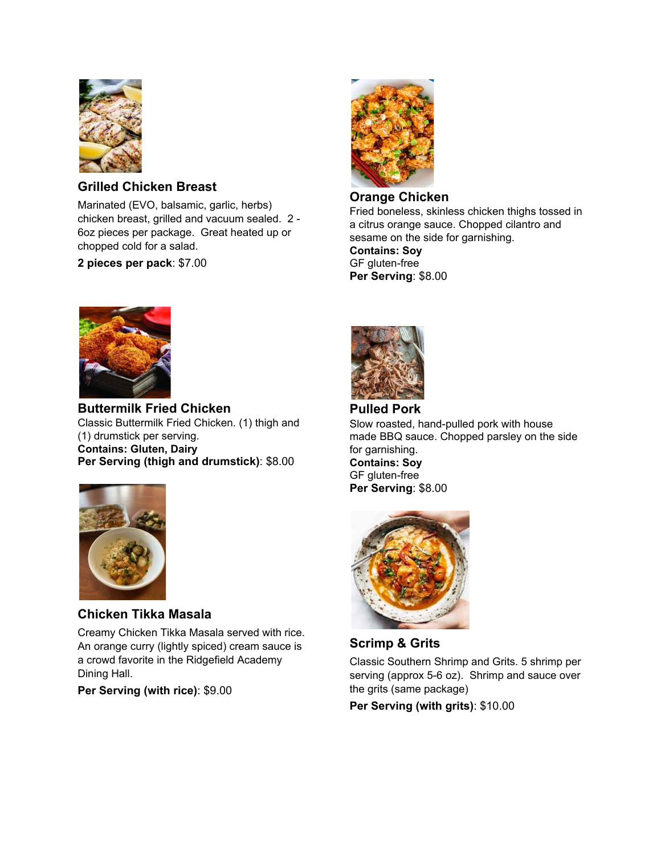

# **Grilled Chicken Breast**

Marinated (EVO, balsamic, garlic, herbs) chicken breast, grilled and vacuum sealed. 2 - 6oz pieces per package. Great heated up or chopped cold for a salad.

**2 pieces per pack**: \$7.00



#### **Orange Chicken**

Fried boneless, skinless chicken thighs tossed in a citrus orange sauce. Chopped cilantro and sesame on the side for garnishing. **Contains: Soy** GF gluten-free **Per Serving**: \$8.00



**Buttermilk Fried Chicken** Classic Buttermilk Fried Chicken. (1) thigh and (1) drumstick per serving. **Contains: Gluten, Dairy Per Serving (thigh and drumstick)**: \$8.00



# **Chicken Tikka Masala**

Creamy Chicken Tikka Masala served with rice. An orange curry (lightly spiced) cream sauce is a crowd favorite in the Ridgefield Academy Dining Hall.

**Per Serving (with rice)**: \$9.00



**Pulled Pork** Slow roasted, hand-pulled pork with house made BBQ sauce. Chopped parsley on the side for garnishing. **Contains: Soy** GF gluten-free **Per Serving**: \$8.00



**Scrimp & Grits**

Classic Southern Shrimp and Grits. 5 shrimp per serving (approx 5-6 oz). Shrimp and sauce over the grits (same package)

**Per Serving (with grits)**: \$10.00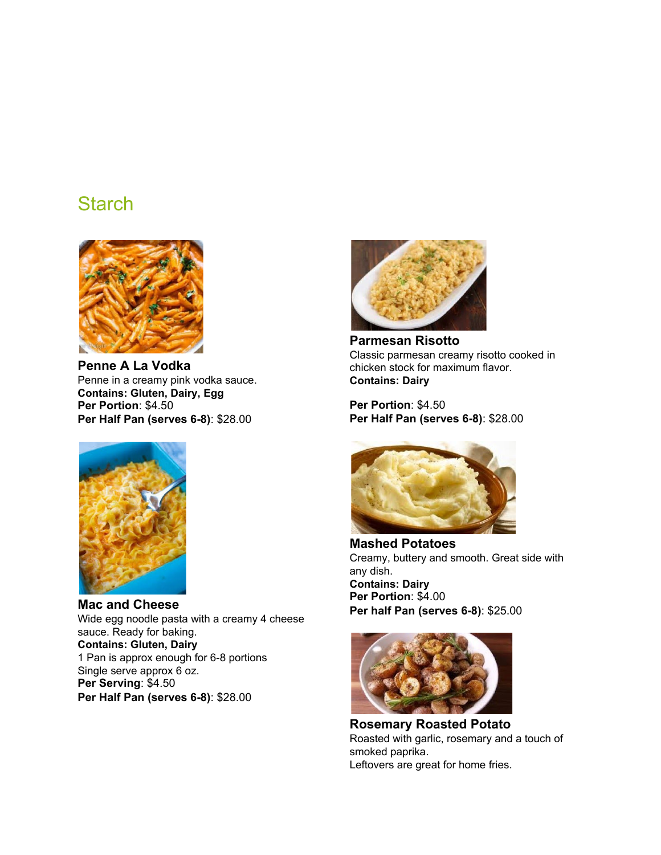# **Starch**



**Penne A La Vodka** Penne in a creamy pink vodka sauce. **Contains: Gluten, Dairy, Egg Per Portion**: \$4.50 **Per Half Pan (serves 6-8)**: \$28.00



**Mac and Cheese** Wide egg noodle pasta with a creamy 4 cheese sauce. Ready for baking. **Contains: Gluten, Dairy** 1 Pan is approx enough for 6-8 portions Single serve approx 6 oz. **Per Serving**: \$4.50 **Per Half Pan (serves 6-8)**: \$28.00

![](_page_2_Picture_5.jpeg)

**Parmesan Risotto** Classic parmesan creamy risotto cooked in chicken stock for maximum flavor. **Contains: Dairy**

**Per Portion**: \$4.50 **Per Half Pan (serves 6-8)**: \$28.00

![](_page_2_Picture_8.jpeg)

**Mashed Potatoes** Creamy, buttery and smooth. Great side with any dish. **Contains: Dairy Per Portion**: \$4.00 **Per half Pan (serves 6-8)**: \$25.00

![](_page_2_Picture_10.jpeg)

**Rosemary Roasted Potato** Roasted with garlic, rosemary and a touch of smoked paprika. Leftovers are great for home fries.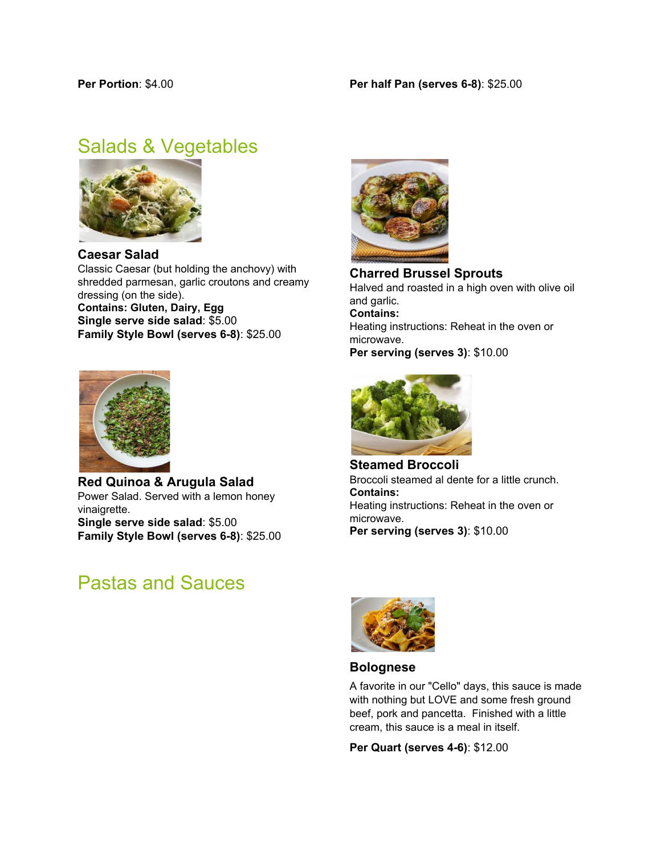# Salads & Vegetables

![](_page_3_Picture_3.jpeg)

**Caesar Salad** Classic Caesar (but holding the anchovy) with shredded parmesan, garlic croutons and creamy dressing (on the side). **Contains: Gluten, Dairy, Egg Single serve side salad**: \$5.00 **Family Style Bowl (serves 6-8)**: \$25.00

![](_page_3_Picture_5.jpeg)

**Red Quinoa & Arugula Salad** Power Salad. Served with a lemon honey vinaigrette. **Single serve side salad**: \$5.00 **Family Style Bowl (serves 6-8)**: \$25.00

# Pastas and Sauces

![](_page_3_Picture_8.jpeg)

**Charred Brussel Sprouts** Halved and roasted in a high oven with olive oil and garlic. **Contains:** Heating instructions: Reheat in the oven or microwave. **Per serving (serves 3)**: \$10.00

![](_page_3_Picture_10.jpeg)

**Steamed Broccoli** Broccoli steamed al dente for a little crunch. **Contains:** Heating instructions: Reheat in the oven or microwave. **Per serving (serves 3)**: \$10.00

![](_page_3_Picture_12.jpeg)

#### **Bolognese**

A favorite in our "Cello" days, this sauce is made with nothing but LOVE and some fresh ground beef, pork and pancetta. Finished with a little cream, this sauce is a meal in itself.

**Per Quart (serves 4-6)**: \$12.00